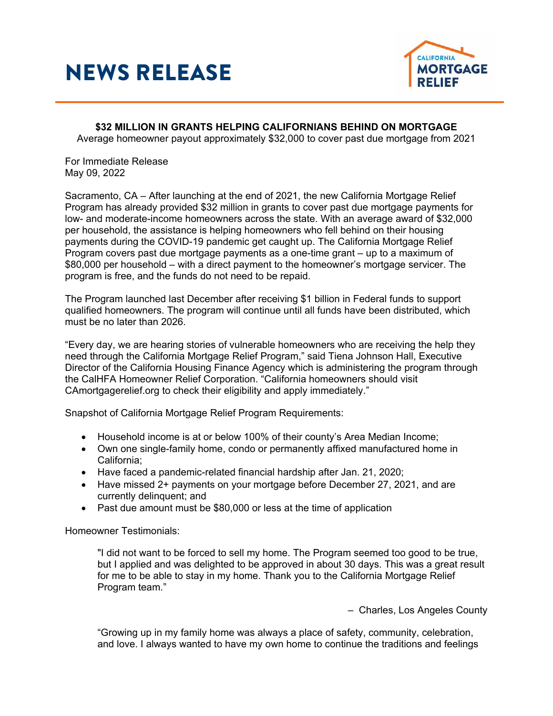## NEWS RELEASE



**\$32 MILLION IN GRANTS HELPING CALIFORNIANS BEHIND ON MORTGAGE** Average homeowner payout approximately \$32,000 to cover past due mortgage from 2021

For Immediate Release May 09, 2022

Sacramento, CA – After launching at the end of 2021, the new California Mortgage Relief Program has already provided \$32 million in grants to cover past due mortgage payments for low- and moderate-income homeowners across the state. With an average award of \$32,000 per household, the assistance is helping homeowners who fell behind on their housing payments during the COVID-19 pandemic get caught up. The California Mortgage Relief Program covers past due mortgage payments as a one-time grant – up to a maximum of \$80,000 per household – with a direct payment to the homeowner's mortgage servicer. The program is free, and the funds do not need to be repaid.

The Program launched last December after receiving \$1 billion in Federal funds to support qualified homeowners. The program will continue until all funds have been distributed, which must be no later than 2026.

"Every day, we are hearing stories of vulnerable homeowners who are receiving the help they need through the California Mortgage Relief Program," said Tiena Johnson Hall, Executive Director of the California Housing Finance Agency which is administering the program through the CalHFA Homeowner Relief Corporation. "California homeowners should visit CAmortgagerelief.org to check their eligibility and apply immediately."

Snapshot of California Mortgage Relief Program Requirements:

- Household income is at or below 100% of their county's Area Median Income;
- Own one single-family home, condo or permanently affixed manufactured home in California;
- Have faced a pandemic-related financial hardship after Jan. 21, 2020;
- Have missed 2+ payments on your mortgage before December 27, 2021, and are currently delinquent; and
- Past due amount must be \$80,000 or less at the time of application

Homeowner Testimonials:

"I did not want to be forced to sell my home. The Program seemed too good to be true, but I applied and was delighted to be approved in about 30 days. This was a great result for me to be able to stay in my home. Thank you to the California Mortgage Relief Program team."

– Charles, Los Angeles County

"Growing up in my family home was always a place of safety, community, celebration, and love. I always wanted to have my own home to continue the traditions and feelings